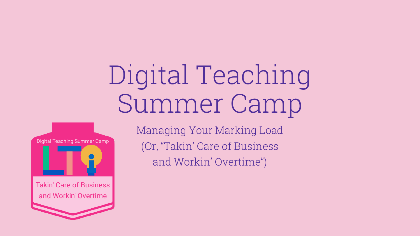# Digital Teaching Summer Camp



Managing Your Marking Load (Or, "Takin' Care of Business and Workin' Overtime")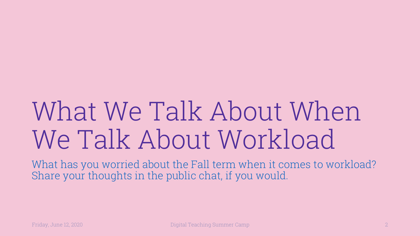# What We Talk About When We Talk About Workload

What has you worried about the Fall term when it comes to workload? Share your thoughts in the public chat, if you would.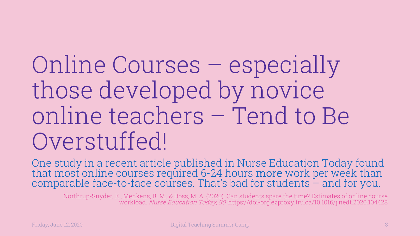Online Courses – especially those developed by novice online teachers – Tend to Be Overstuffed!

One study in a recent article published in Nurse Education Today found<br>that most online courses required 6-24 hours **more** work per week than that most online courses required 6-24 hours more work per week than comparable face-to-face courses. That's bad for students – and for you.

Northrup-Snyder, K., Menkens, R. M., & Ross, M. A. (2020). Can students spare the time? Estimates of online course workload. Nurse Education Today, 90. https://doi-org.ezproxy.tru.ca/10.1016/j.nedt.2020.104428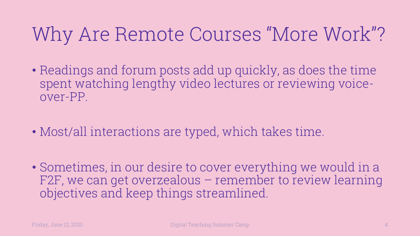### Why Are Remote Courses "More Work"?

- Readings and forum posts add up quickly, as does the time spent watching lengthy video lectures or reviewing voiceover-PP.
- Most/all interactions are typed, which takes time.
- Sometimes, in our desire to cover everything we would in a F2F, we can get overzealous – remember to review learning objectives and keep things streamlined.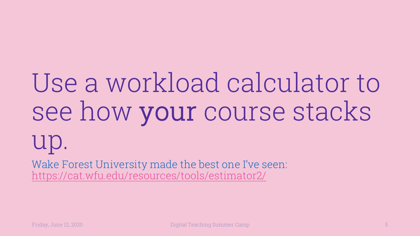# Use a workload cald see how your cours up.

Wake Forest University made the best one I've s https://cat.wfu.edu/resources/tools/estimator2/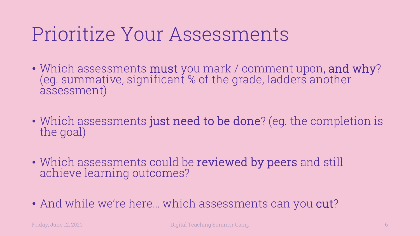#### Prioritize Your Assessments

- Which assessments **must** you mark / comment upon, and why? (eg. summative, significant % of the grade, ladders another assessment)
- Which assessments just need to be done? (eg. the completion is the goal)
- Which assessments could be reviewed by peers and still achieve learning outcomes?
- And while we're here... which assessments can you **cut**?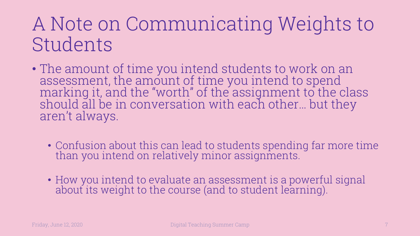#### A Note on Communicating Weights to Students

- The amount of time you intend students to work on an assessment, the amount of time you intend to spend marking it, and the "worth" of the assignment to the class should all be in conversation with each other… but they aren't always.
	- Confusion about this can lead to students spending far more time than you intend on relatively minor assignments.
	- How you intend to evaluate an assessment is a powerful signal about its weight to the course (and to student learning).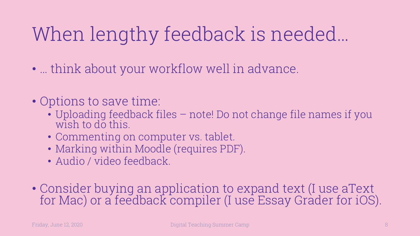### When lengthy feedback is needed…

- … think about your workflow well in advance.
- Options to save time:
	- Uploading feedback files note! Do not change file names if you wish to do this.
	- Commenting on computer vs. tablet.
	- Marking within Moodle (requires PDF).
	- Audio / video feedback.
- Consider buying an application to expand text (I use aText for Mac) or a feedback compiler (I use Essay Grader for iOS).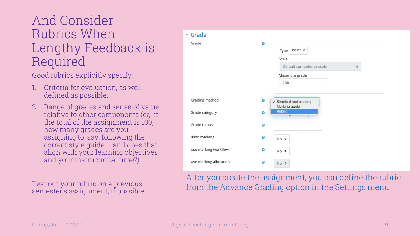#### And Consider Rubrics When Lengthy Feedback is Required

Good rubrics explicitly specify:

- 1. Criteria for evaluation, as welldefined as possible.
- 2. Range of grades and sense of value relative to other components (eg. if the total of the assignment is 100, how many grades are you assigning to, say, following the correct style guide – and does that align with your learning objectives and your instructional time?).

Test out your rubric on a previous semester's assignment, if possible.

| $\sim$ Grade           |                                                                                                     |
|------------------------|-----------------------------------------------------------------------------------------------------|
| Grade                  | $\bullet$<br>Point $\div$<br>Type<br>Scale<br>Default competence scale<br>÷<br>Maximum grade<br>100 |
| Grading method         | ❸<br>$\checkmark$ Simple direct grading<br>Marking guide                                            |
| Grade category         | <b>Rubric</b><br>❸<br>wwww.ngwwww                                                                   |
| Grade to pass          | $\ddot{\mathbf{e}}$                                                                                 |
| Blind marking          | ❸<br>No ≑                                                                                           |
| Use marking workflow   | ❸<br>$No$ $\div$                                                                                    |
| Use marking allocation | ❸<br>$No$ $\div$                                                                                    |

After you create the assignment, you can define the rubric from the Advance Grading option in the Settings menu.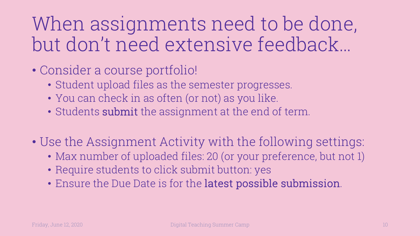When assignments need to be done, but don't need extensive feedback…

- Consider a course portfolio!
	- Student upload files as the semester progresses.
	- You can check in as often (or not) as you like.
	- Students submit the assignment at the end of term.
- Use the Assignment Activity with the following settings:
	- Max number of uploaded files: 20 (or your preference, but not 1)
	- Require students to click submit button: yes
	- Ensure the Due Date is for the latest possible submission.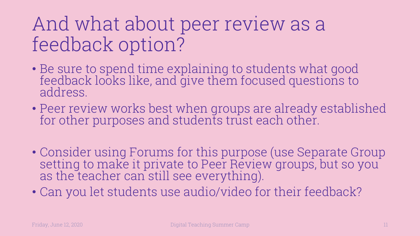#### And what about peer review as a feedback option?

- Be sure to spend time explaining to students what good feedback looks like, and give them focused questions to address.
- Peer review works best when groups are already established for other purposes and students trust each other.
- Consider using Forums for this purpose (use Separate Group setting to make it private to Peer Review groups, but so you as the teacher can still see everything).
- Can you let students use audio/video for their feedback?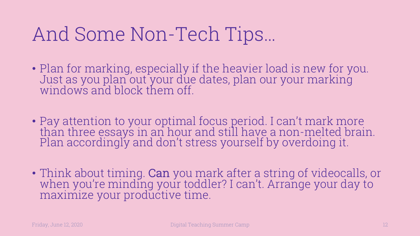#### And Some Non-Tech Tips…

- Plan for marking, especially if the heavier load is new for you. Just as you plan out your due dates, plan our your marking windows and block them off.
- Pay attention to your optimal focus period. I can't mark more than three essays in an hour and still have a non-melted brain. Plan accordingly and don't stress yourself by overdoing it.
- Think about timing. Can you mark after a string of videocalls, or when you're minding your toddler? I can't. Arrange your day to maximize your productive time.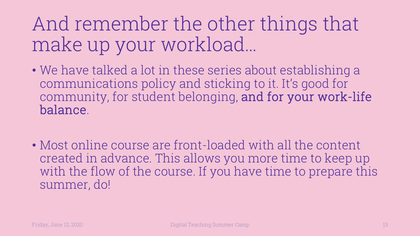And remember the other things that make up your workload…

- We have talked a lot in these series about establishing a communications policy and sticking to it. It's good for community, for student belonging, and for your work-life balance.
- Most online course are front-loaded with all the content created in advance. This allows you more time to keep up with the flow of the course. If you have time to prepare this summer, do!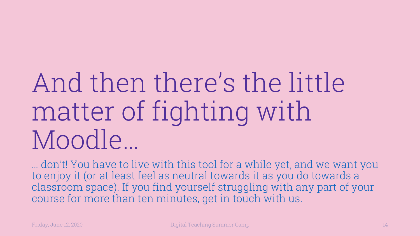# And then there's the little matter of fighting with Moodle…

… don't! You have to live with this tool for a while yet, and we want you to enjoy it (or at least feel as neutral towards it as you do towards a classroom space). If you find yourself struggling with any part of your course for more than ten minutes, get in touch with us.